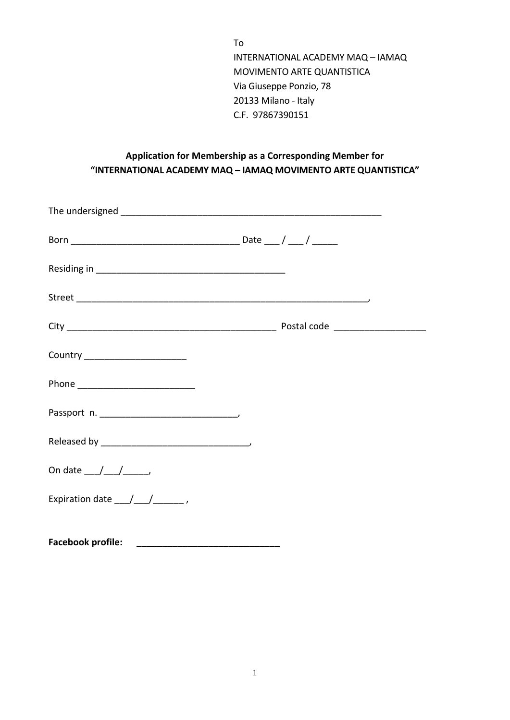To INTERNATIONAL ACADEMY MAQ – IAMAQ MOVIMENTO ARTE QUANTISTICA Via Giuseppe Ponzio, 78 20133 Milano - Italy C.F. 97867390151

## **Application for Membership as a Corresponding Member for "INTERNATIONAL ACADEMY MAQ – IAMAQ MOVIMENTO ARTE QUANTISTICA"**

| Country ________________________                         |  |
|----------------------------------------------------------|--|
| Phone ______________________________                     |  |
|                                                          |  |
|                                                          |  |
| On date $\_\_\_\_\_\_\_\_\_\_\_\_\_\_\_$                 |  |
| Expiration date $\frac{1}{\sqrt{1-\frac{1}{2}}}\right$ , |  |
| <b>Facebook profile:</b>                                 |  |